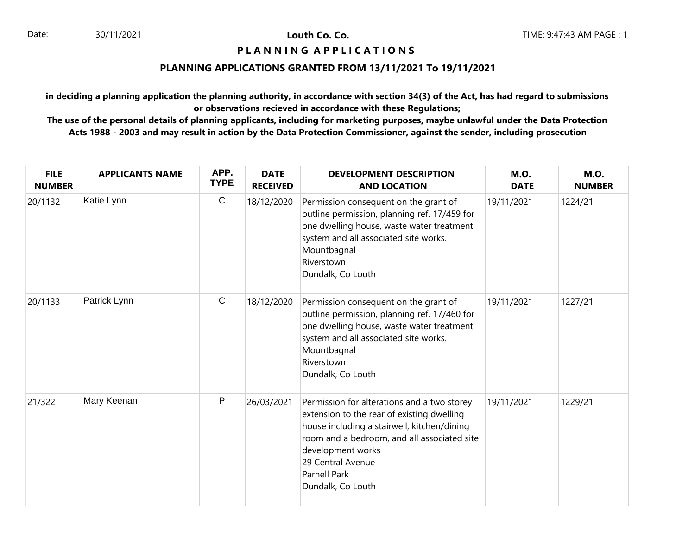30/11/2021 **Louth Co. Co.**

# **PIANNING APPLICATIONS**

### **PLANNING APPLICATIONS GRANTED FROM 13/11/2021 To 19/11/2021**

**in deciding a planning application the planning authority, in accordance with section 34(3) of the Act, has had regard to submissions or observations recieved in accordance with these Regulations;**

| <b>FILE</b><br><b>NUMBER</b> | <b>APPLICANTS NAME</b> | APP.<br><b>TYPE</b> | <b>DATE</b><br><b>RECEIVED</b> | <b>DEVELOPMENT DESCRIPTION</b><br><b>AND LOCATION</b>                                                                                                                                                                                                                         | <b>M.O.</b><br><b>DATE</b> | <b>M.O.</b><br><b>NUMBER</b> |
|------------------------------|------------------------|---------------------|--------------------------------|-------------------------------------------------------------------------------------------------------------------------------------------------------------------------------------------------------------------------------------------------------------------------------|----------------------------|------------------------------|
| 20/1132                      | Katie Lynn             | $\mathbf C$         | 18/12/2020                     | Permission consequent on the grant of<br>outline permission, planning ref. 17/459 for<br>one dwelling house, waste water treatment<br>system and all associated site works.<br>Mountbagnal<br>Riverstown<br>Dundalk, Co Louth                                                 | 19/11/2021                 | 1224/21                      |
| 20/1133                      | Patrick Lynn           | C                   | 18/12/2020                     | Permission consequent on the grant of<br>outline permission, planning ref. 17/460 for<br>one dwelling house, waste water treatment<br>system and all associated site works.<br>Mountbagnal<br>Riverstown<br>Dundalk, Co Louth                                                 | 19/11/2021                 | 1227/21                      |
| 21/322                       | Mary Keenan            | P                   | 26/03/2021                     | Permission for alterations and a two storey<br>extension to the rear of existing dwelling<br>house including a stairwell, kitchen/dining<br>room and a bedroom, and all associated site<br>development works<br>29 Central Avenue<br><b>Parnell Park</b><br>Dundalk, Co Louth | 19/11/2021                 | 1229/21                      |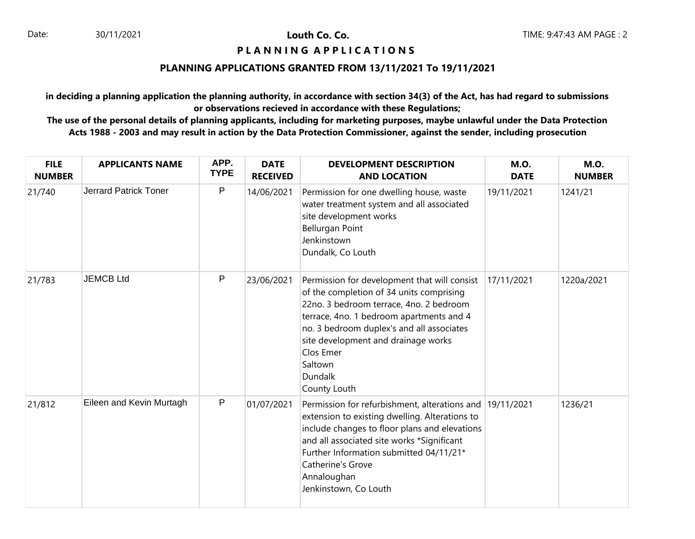### **PIANNING APPLICATIONS**

# **PLANNING APPLICATIONS GRANTED FROM 13/11/2021 To 19/11/2021**

**in deciding a planning application the planning authority, in accordance with section 34(3) of the Act, has had regard to submissions or observations recieved in accordance with these Regulations;**

| <b>FILE</b><br><b>NUMBER</b> | <b>APPLICANTS NAME</b>       | APP.<br><b>TYPE</b> | <b>DATE</b><br><b>RECEIVED</b> | <b>DEVELOPMENT DESCRIPTION</b><br><b>AND LOCATION</b>                                                                                                                                                                                                                                                                         | <b>M.O.</b><br><b>DATE</b> | <b>M.O.</b><br><b>NUMBER</b> |
|------------------------------|------------------------------|---------------------|--------------------------------|-------------------------------------------------------------------------------------------------------------------------------------------------------------------------------------------------------------------------------------------------------------------------------------------------------------------------------|----------------------------|------------------------------|
| 21/740                       | <b>Jerrard Patrick Toner</b> | P                   | 14/06/2021                     | Permission for one dwelling house, waste<br>water treatment system and all associated<br>site development works<br>Bellurgan Point<br>Jenkinstown<br>Dundalk, Co Louth                                                                                                                                                        | 19/11/2021                 | 1241/21                      |
| 21/783                       | <b>JEMCB Ltd</b>             | P                   | 23/06/2021                     | Permission for development that will consist<br>of the completion of 34 units comprising<br>22no. 3 bedroom terrace, 4no. 2 bedroom<br>terrace, 4no. 1 bedroom apartments and 4<br>no. 3 bedroom duplex's and all associates<br>site development and drainage works<br>Clos Emer<br>Saltown<br><b>Dundalk</b><br>County Louth | 17/11/2021                 | 1220a/2021                   |
| 21/812                       | Eileen and Kevin Murtagh     | P                   | 01/07/2021                     | Permission for refurbishment, alterations and 19/11/2021<br>extension to existing dwelling. Alterations to<br>include changes to floor plans and elevations<br>and all associated site works *Significant<br>Further Information submitted 04/11/21*<br>Catherine's Grove<br>Annaloughan<br>Jenkinstown, Co Louth             |                            | 1236/21                      |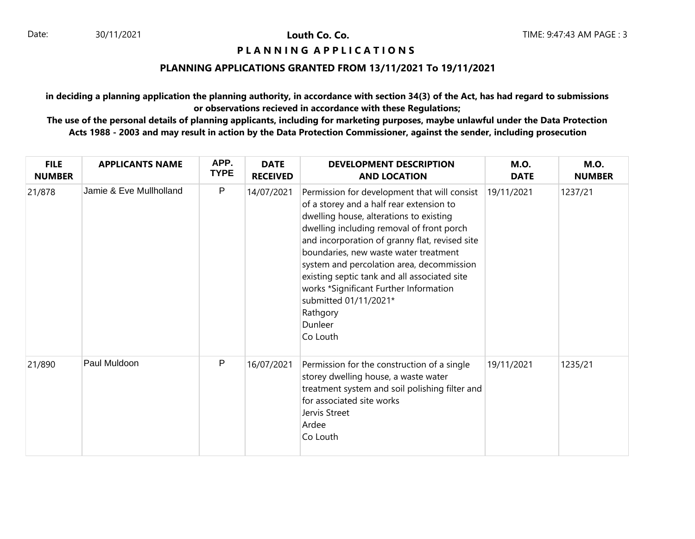Louth Co. Co.

### **PIANNING APPLICATIONS**

# **PLANNING APPLICATIONS GRANTED FROM 13/11/2021 To 19/11/2021**

**in deciding a planning application the planning authority, in accordance with section 34(3) of the Act, has had regard to submissions or observations recieved in accordance with these Regulations;**

| <b>FILE</b><br><b>NUMBER</b> | <b>APPLICANTS NAME</b>  | APP.<br><b>TYPE</b> | <b>DATE</b><br><b>RECEIVED</b> | <b>DEVELOPMENT DESCRIPTION</b><br><b>AND LOCATION</b>                                                                                                                                                                                                                                                                                                                                                                                                                          | <b>M.O.</b><br><b>DATE</b> | <b>M.O.</b><br><b>NUMBER</b> |
|------------------------------|-------------------------|---------------------|--------------------------------|--------------------------------------------------------------------------------------------------------------------------------------------------------------------------------------------------------------------------------------------------------------------------------------------------------------------------------------------------------------------------------------------------------------------------------------------------------------------------------|----------------------------|------------------------------|
| 21/878                       | Jamie & Eve Mullholland | $\mathsf{P}$        | 14/07/2021                     | Permission for development that will consist<br>of a storey and a half rear extension to<br>dwelling house, alterations to existing<br>dwelling including removal of front porch<br>and incorporation of granny flat, revised site<br>boundaries, new waste water treatment<br>system and percolation area, decommission<br>existing septic tank and all associated site<br>works *Significant Further Information<br>submitted 01/11/2021*<br>Rathgory<br>Dunleer<br>Co Louth | 19/11/2021                 | 1237/21                      |
| 21/890                       | Paul Muldoon            | P                   | 16/07/2021                     | Permission for the construction of a single<br>storey dwelling house, a waste water<br>treatment system and soil polishing filter and<br>for associated site works<br>Jervis Street<br>Ardee<br>Co Louth                                                                                                                                                                                                                                                                       | 19/11/2021                 | 1235/21                      |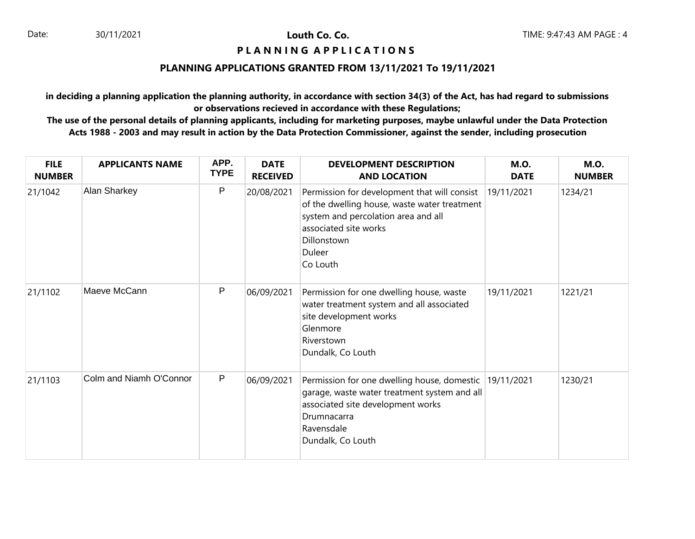30/11/2021 **Louth Co. Co.**

### **PIANNING APPLICATIONS**

# **PLANNING APPLICATIONS GRANTED FROM 13/11/2021 To 19/11/2021**

**in deciding a planning application the planning authority, in accordance with section 34(3) of the Act, has had regard to submissions or observations recieved in accordance with these Regulations;**

| <b>FILE</b><br><b>NUMBER</b> | <b>APPLICANTS NAME</b>  | APP.<br><b>TYPE</b> | <b>DATE</b><br><b>RECEIVED</b> | <b>DEVELOPMENT DESCRIPTION</b><br><b>AND LOCATION</b>                                                                                                                                             | <b>M.O.</b><br><b>DATE</b> | <b>M.O.</b><br><b>NUMBER</b> |
|------------------------------|-------------------------|---------------------|--------------------------------|---------------------------------------------------------------------------------------------------------------------------------------------------------------------------------------------------|----------------------------|------------------------------|
| 21/1042                      | Alan Sharkey            | P                   | 20/08/2021                     | Permission for development that will consist<br>of the dwelling house, waste water treatment<br>system and percolation area and all<br>associated site works<br>Dillonstown<br>Duleer<br>Co Louth | 19/11/2021                 | 1234/21                      |
| 21/1102                      | Maeve McCann            | P                   | 06/09/2021                     | Permission for one dwelling house, waste<br>water treatment system and all associated<br>site development works<br>Glenmore<br>Riverstown<br>Dundalk, Co Louth                                    | 19/11/2021                 | 1221/21                      |
| 21/1103                      | Colm and Niamh O'Connor | $\mathsf{P}$        | 06/09/2021                     | Permission for one dwelling house, domestic 19/11/2021<br>garage, waste water treatment system and all<br>associated site development works<br>Drumnacarra<br>Ravensdale<br>Dundalk, Co Louth     |                            | 1230/21                      |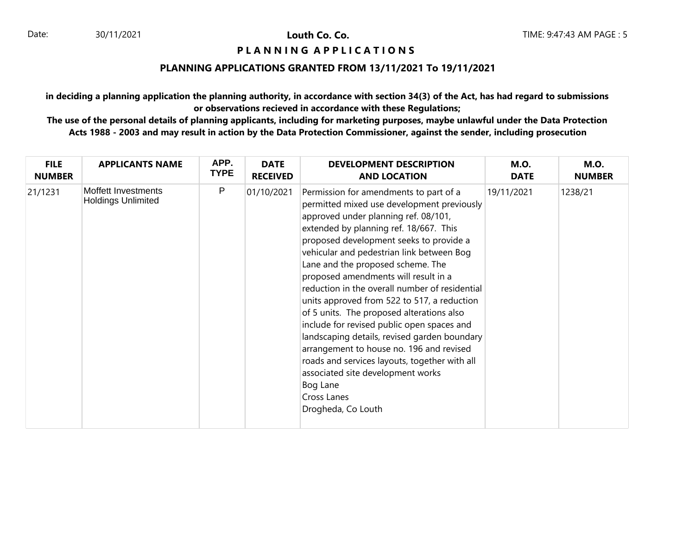### **PIANNING APPLICATIONS**

### **PLANNING APPLICATIONS GRANTED FROM 13/11/2021 To 19/11/2021**

**in deciding a planning application the planning authority, in accordance with section 34(3) of the Act, has had regard to submissions or observations recieved in accordance with these Regulations;**

| <b>FILE</b>   | <b>APPLICANTS NAME</b>                           | APP.        | <b>DATE</b>     | <b>DEVELOPMENT DESCRIPTION</b>                                                                                                                                                                                                                                                                                                                                                                                                                                                                                                                                                                                                                                                                                                                                             | <b>M.O.</b> | <b>M.O.</b>   |
|---------------|--------------------------------------------------|-------------|-----------------|----------------------------------------------------------------------------------------------------------------------------------------------------------------------------------------------------------------------------------------------------------------------------------------------------------------------------------------------------------------------------------------------------------------------------------------------------------------------------------------------------------------------------------------------------------------------------------------------------------------------------------------------------------------------------------------------------------------------------------------------------------------------------|-------------|---------------|
| <b>NUMBER</b> |                                                  | <b>TYPE</b> | <b>RECEIVED</b> | <b>AND LOCATION</b>                                                                                                                                                                                                                                                                                                                                                                                                                                                                                                                                                                                                                                                                                                                                                        | <b>DATE</b> | <b>NUMBER</b> |
| 21/1231       | Moffett Investments<br><b>Holdings Unlimited</b> | P           | 01/10/2021      | Permission for amendments to part of a<br>permitted mixed use development previously<br>approved under planning ref. 08/101,<br>extended by planning ref. 18/667. This<br>proposed development seeks to provide a<br>vehicular and pedestrian link between Bog<br>Lane and the proposed scheme. The<br>proposed amendments will result in a<br>reduction in the overall number of residential<br>units approved from 522 to 517, a reduction<br>of 5 units. The proposed alterations also<br>include for revised public open spaces and<br>landscaping details, revised garden boundary<br>arrangement to house no. 196 and revised<br>roads and services layouts, together with all<br>associated site development works<br>Bog Lane<br>Cross Lanes<br>Drogheda, Co Louth | 19/11/2021  | 1238/21       |